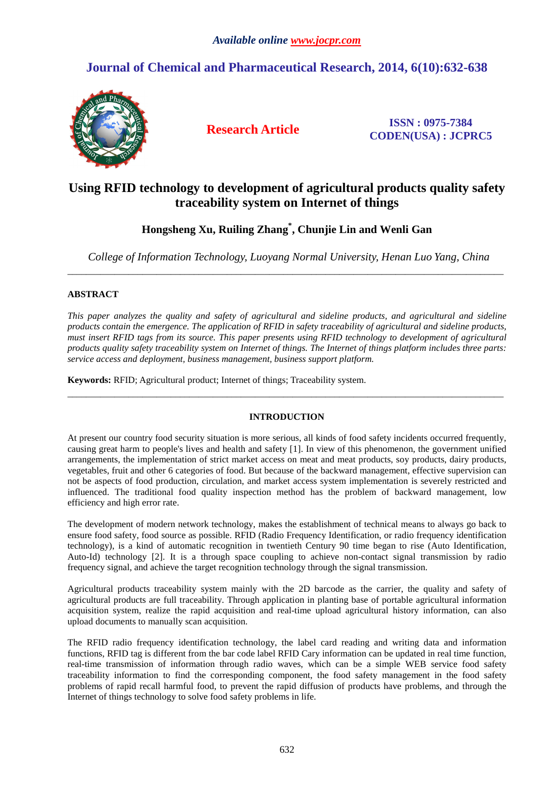# **Journal of Chemical and Pharmaceutical Research, 2014, 6(10):632-638**



**Research Article ISSN : 0975-7384 CODEN(USA) : JCPRC5**

## **Using RFID technology to development of agricultural products quality safety traceability system on Internet of things**

## **Hongsheng Xu, Ruiling Zhang\* , Chunjie Lin and Wenli Gan**

*College of Information Technology, Luoyang Normal University, Henan Luo Yang, China*  \_\_\_\_\_\_\_\_\_\_\_\_\_\_\_\_\_\_\_\_\_\_\_\_\_\_\_\_\_\_\_\_\_\_\_\_\_\_\_\_\_\_\_\_\_\_\_\_\_\_\_\_\_\_\_\_\_\_\_\_\_\_\_\_\_\_\_\_\_\_\_\_\_\_\_\_\_\_\_\_\_\_\_\_\_\_\_\_\_\_\_\_\_

### **ABSTRACT**

*This paper analyzes the quality and safety of agricultural and sideline products, and agricultural and sideline products contain the emergence. The application of RFID in safety traceability of agricultural and sideline products, must insert RFID tags from its source. This paper presents using RFID technology to development of agricultural products quality safety traceability system on Internet of things. The Internet of things platform includes three parts: service access and deployment, business management, business support platform.* 

**Keywords:** RFID; Agricultural product; Internet of things; Traceability system.

### **INTRODUCTION**

\_\_\_\_\_\_\_\_\_\_\_\_\_\_\_\_\_\_\_\_\_\_\_\_\_\_\_\_\_\_\_\_\_\_\_\_\_\_\_\_\_\_\_\_\_\_\_\_\_\_\_\_\_\_\_\_\_\_\_\_\_\_\_\_\_\_\_\_\_\_\_\_\_\_\_\_\_\_\_\_\_\_\_\_\_\_\_\_\_\_\_\_\_

At present our country food security situation is more serious, all kinds of food safety incidents occurred frequently, causing great harm to people's lives and health and safety [1]. In view of this phenomenon, the government unified arrangements, the implementation of strict market access on meat and meat products, soy products, dairy products, vegetables, fruit and other 6 categories of food. But because of the backward management, effective supervision can not be aspects of food production, circulation, and market access system implementation is severely restricted and influenced. The traditional food quality inspection method has the problem of backward management, low efficiency and high error rate.

The development of modern network technology, makes the establishment of technical means to always go back to ensure food safety, food source as possible. RFID (Radio Frequency Identification, or radio frequency identification technology), is a kind of automatic recognition in twentieth Century 90 time began to rise (Auto Identification, Auto-Id) technology [2]. It is a through space coupling to achieve non-contact signal transmission by radio frequency signal, and achieve the target recognition technology through the signal transmission.

Agricultural products traceability system mainly with the 2D barcode as the carrier, the quality and safety of agricultural products are full traceability. Through application in planting base of portable agricultural information acquisition system, realize the rapid acquisition and real-time upload agricultural history information, can also upload documents to manually scan acquisition.

The RFID radio frequency identification technology, the label card reading and writing data and information functions, RFID tag is different from the bar code label RFID Cary information can be updated in real time function, real-time transmission of information through radio waves, which can be a simple WEB service food safety traceability information to find the corresponding component, the food safety management in the food safety problems of rapid recall harmful food, to prevent the rapid diffusion of products have problems, and through the Internet of things technology to solve food safety problems in life.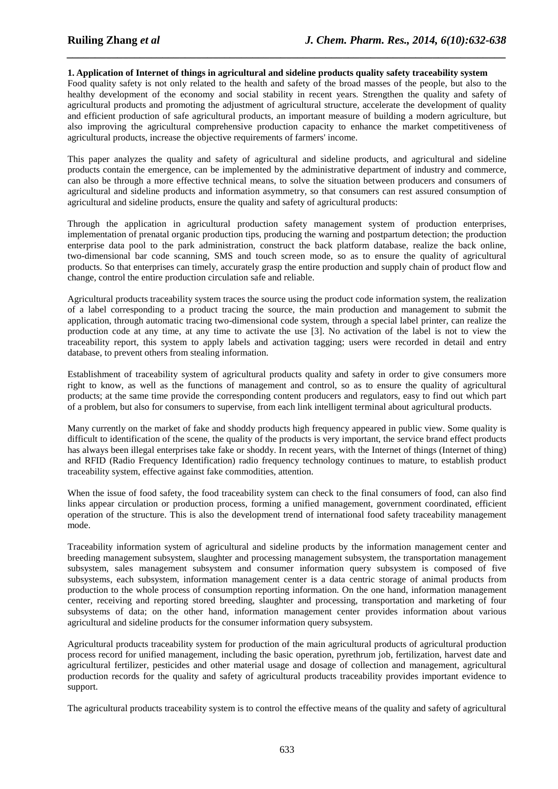#### **1. Application of Internet of things in agricultural and sideline products quality safety traceability system**

*\_\_\_\_\_\_\_\_\_\_\_\_\_\_\_\_\_\_\_\_\_\_\_\_\_\_\_\_\_\_\_\_\_\_\_\_\_\_\_\_\_\_\_\_\_\_\_\_\_\_\_\_\_\_\_\_\_\_\_\_\_\_\_\_\_\_\_\_\_\_\_\_\_\_\_\_\_\_*

Food quality safety is not only related to the health and safety of the broad masses of the people, but also to the healthy development of the economy and social stability in recent years. Strengthen the quality and safety of agricultural products and promoting the adjustment of agricultural structure, accelerate the development of quality and efficient production of safe agricultural products, an important measure of building a modern agriculture, but also improving the agricultural comprehensive production capacity to enhance the market competitiveness of agricultural products, increase the objective requirements of farmers' income.

This paper analyzes the quality and safety of agricultural and sideline products, and agricultural and sideline products contain the emergence, can be implemented by the administrative department of industry and commerce, can also be through a more effective technical means, to solve the situation between producers and consumers of agricultural and sideline products and information asymmetry, so that consumers can rest assured consumption of agricultural and sideline products, ensure the quality and safety of agricultural products:

Through the application in agricultural production safety management system of production enterprises, implementation of prenatal organic production tips, producing the warning and postpartum detection; the production enterprise data pool to the park administration, construct the back platform database, realize the back online, two-dimensional bar code scanning, SMS and touch screen mode, so as to ensure the quality of agricultural products. So that enterprises can timely, accurately grasp the entire production and supply chain of product flow and change, control the entire production circulation safe and reliable.

Agricultural products traceability system traces the source using the product code information system, the realization of a label corresponding to a product tracing the source, the main production and management to submit the application, through automatic tracing two-dimensional code system, through a special label printer, can realize the production code at any time, at any time to activate the use [3]. No activation of the label is not to view the traceability report, this system to apply labels and activation tagging; users were recorded in detail and entry database, to prevent others from stealing information.

Establishment of traceability system of agricultural products quality and safety in order to give consumers more right to know, as well as the functions of management and control, so as to ensure the quality of agricultural products; at the same time provide the corresponding content producers and regulators, easy to find out which part of a problem, but also for consumers to supervise, from each link intelligent terminal about agricultural products.

Many currently on the market of fake and shoddy products high frequency appeared in public view. Some quality is difficult to identification of the scene, the quality of the products is very important, the service brand effect products has always been illegal enterprises take fake or shoddy. In recent years, with the Internet of things (Internet of thing) and RFID (Radio Frequency Identification) radio frequency technology continues to mature, to establish product traceability system, effective against fake commodities, attention.

When the issue of food safety, the food traceability system can check to the final consumers of food, can also find links appear circulation or production process, forming a unified management, government coordinated, efficient operation of the structure. This is also the development trend of international food safety traceability management mode.

Traceability information system of agricultural and sideline products by the information management center and breeding management subsystem, slaughter and processing management subsystem, the transportation management subsystem, sales management subsystem and consumer information query subsystem is composed of five subsystems, each subsystem, information management center is a data centric storage of animal products from production to the whole process of consumption reporting information. On the one hand, information management center, receiving and reporting stored breeding, slaughter and processing, transportation and marketing of four subsystems of data; on the other hand, information management center provides information about various agricultural and sideline products for the consumer information query subsystem.

Agricultural products traceability system for production of the main agricultural products of agricultural production process record for unified management, including the basic operation, pyrethrum job, fertilization, harvest date and agricultural fertilizer, pesticides and other material usage and dosage of collection and management, agricultural production records for the quality and safety of agricultural products traceability provides important evidence to support.

The agricultural products traceability system is to control the effective means of the quality and safety of agricultural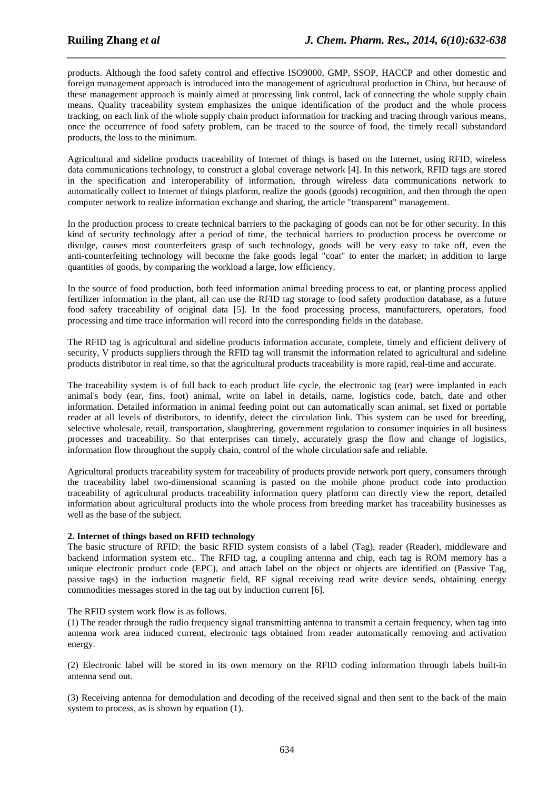products. Although the food safety control and effective ISO9000, GMP, SSOP, HACCP and other domestic and foreign management approach is introduced into the management of agricultural production in China, but because of these management approach is mainly aimed at processing link control, lack of connecting the whole supply chain means. Quality traceability system emphasizes the unique identification of the product and the whole process tracking, on each link of the whole supply chain product information for tracking and tracing through various means, once the occurrence of food safety problem, can be traced to the source of food, the timely recall substandard products, the loss to the minimum.

*\_\_\_\_\_\_\_\_\_\_\_\_\_\_\_\_\_\_\_\_\_\_\_\_\_\_\_\_\_\_\_\_\_\_\_\_\_\_\_\_\_\_\_\_\_\_\_\_\_\_\_\_\_\_\_\_\_\_\_\_\_\_\_\_\_\_\_\_\_\_\_\_\_\_\_\_\_\_*

Agricultural and sideline products traceability of Internet of things is based on the Internet, using RFID, wireless data communications technology, to construct a global coverage network [4]. In this network, RFID tags are stored in the specification and interoperability of information, through wireless data communications network to automatically collect to Internet of things platform, realize the goods (goods) recognition, and then through the open computer network to realize information exchange and sharing, the article "transparent" management.

In the production process to create technical barriers to the packaging of goods can not be for other security. In this kind of security technology after a period of time, the technical barriers to production process be overcome or divulge, causes most counterfeiters grasp of such technology, goods will be very easy to take off, even the anti-counterfeiting technology will become the fake goods legal "coat" to enter the market; in addition to large quantities of goods, by comparing the workload a large, low efficiency.

In the source of food production, both feed information animal breeding process to eat, or planting process applied fertilizer information in the plant, all can use the RFID tag storage to food safety production database, as a future food safety traceability of original data [5]. In the food processing process, manufacturers, operators, food processing and time trace information will record into the corresponding fields in the database.

The RFID tag is agricultural and sideline products information accurate, complete, timely and efficient delivery of security, V products suppliers through the RFID tag will transmit the information related to agricultural and sideline products distributor in real time, so that the agricultural products traceability is more rapid, real-time and accurate.

The traceability system is of full back to each product life cycle, the electronic tag (ear) were implanted in each animal's body (ear, fins, foot) animal, write on label in details, name, logistics code, batch, date and other information. Detailed information in animal feeding point out can automatically scan animal, set fixed or portable reader at all levels of distributors, to identify, detect the circulation link. This system can be used for breeding, selective wholesale, retail, transportation, slaughtering, government regulation to consumer inquiries in all business processes and traceability. So that enterprises can timely, accurately grasp the flow and change of logistics, information flow throughout the supply chain, control of the whole circulation safe and reliable.

Agricultural products traceability system for traceability of products provide network port query, consumers through the traceability label two-dimensional scanning is pasted on the mobile phone product code into production traceability of agricultural products traceability information query platform can directly view the report, detailed information about agricultural products into the whole process from breeding market has traceability businesses as well as the base of the subject.

#### **2. Internet of things based on RFID technology**

The basic structure of RFID: the basic RFID system consists of a label (Tag), reader (Reader), middleware and backend information system etc.. The RFID tag, a coupling antenna and chip, each tag is ROM memory has a unique electronic product code (EPC), and attach label on the object or objects are identified on (Passive Tag, passive tags) in the induction magnetic field, RF signal receiving read write device sends, obtaining energy commodities messages stored in the tag out by induction current [6].

#### The RFID system work flow is as follows.

(1) The reader through the radio frequency signal transmitting antenna to transmit a certain frequency, when tag into antenna work area induced current, electronic tags obtained from reader automatically removing and activation energy.

(2) Electronic label will be stored in its own memory on the RFID coding information through labels built-in antenna send out.

(3) Receiving antenna for demodulation and decoding of the received signal and then sent to the back of the main system to process, as is shown by equation (1).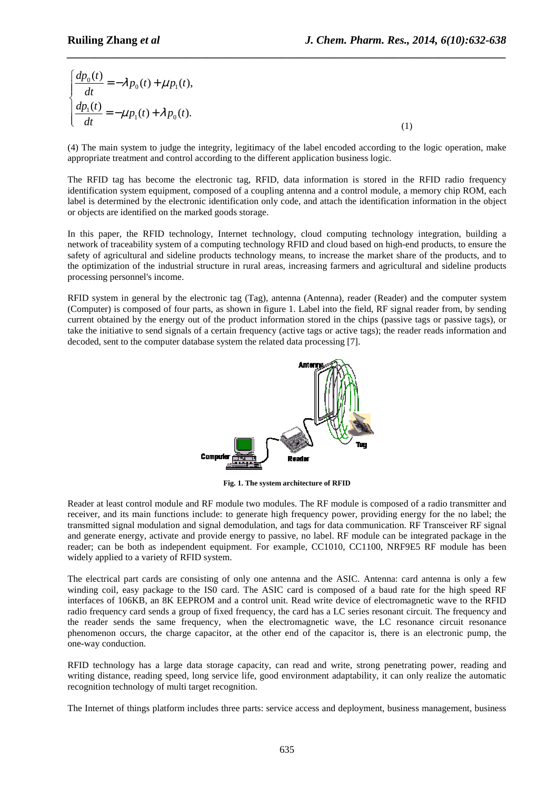$$
\begin{cases}\n\frac{dp_0(t)}{dt} = -\lambda p_0(t) + \mu p_1(t), \\
\frac{dp_1(t)}{dt} = -\mu p_1(t) + \lambda p_0(t).\n\end{cases} (1)
$$

(4) The main system to judge the integrity, legitimacy of the label encoded according to the logic operation, make appropriate treatment and control according to the different application business logic.

*\_\_\_\_\_\_\_\_\_\_\_\_\_\_\_\_\_\_\_\_\_\_\_\_\_\_\_\_\_\_\_\_\_\_\_\_\_\_\_\_\_\_\_\_\_\_\_\_\_\_\_\_\_\_\_\_\_\_\_\_\_\_\_\_\_\_\_\_\_\_\_\_\_\_\_\_\_\_*

The RFID tag has become the electronic tag, RFID, data information is stored in the RFID radio frequency identification system equipment, composed of a coupling antenna and a control module, a memory chip ROM, each label is determined by the electronic identification only code, and attach the identification information in the object or objects are identified on the marked goods storage.

In this paper, the RFID technology, Internet technology, cloud computing technology integration, building a network of traceability system of a computing technology RFID and cloud based on high-end products, to ensure the safety of agricultural and sideline products technology means, to increase the market share of the products, and to the optimization of the industrial structure in rural areas, increasing farmers and agricultural and sideline products processing personnel's income.

RFID system in general by the electronic tag (Tag), antenna (Antenna), reader (Reader) and the computer system (Computer) is composed of four parts, as shown in figure 1. Label into the field, RF signal reader from, by sending current obtained by the energy out of the product information stored in the chips (passive tags or passive tags), or take the initiative to send signals of a certain frequency (active tags or active tags); the reader reads information and decoded, sent to the computer database system the related data processing [7].



**Fig. 1. The system architecture of RFID** 

Reader at least control module and RF module two modules. The RF module is composed of a radio transmitter and receiver, and its main functions include: to generate high frequency power, providing energy for the no label; the transmitted signal modulation and signal demodulation, and tags for data communication. RF Transceiver RF signal and generate energy, activate and provide energy to passive, no label. RF module can be integrated package in the reader; can be both as independent equipment. For example, CC1010, CC1100, NRF9E5 RF module has been widely applied to a variety of RFID system.

The electrical part cards are consisting of only one antenna and the ASIC. Antenna: card antenna is only a few winding coil, easy package to the ISO card. The ASIC card is composed of a baud rate for the high speed RF interfaces of 106KB, an 8K EEPROM and a control unit. Read write device of electromagnetic wave to the RFID radio frequency card sends a group of fixed frequency, the card has a LC series resonant circuit. The frequency and the reader sends the same frequency, when the electromagnetic wave, the LC resonance circuit resonance phenomenon occurs, the charge capacitor, at the other end of the capacitor is, there is an electronic pump, the one-way conduction.

RFID technology has a large data storage capacity, can read and write, strong penetrating power, reading and writing distance, reading speed, long service life, good environment adaptability, it can only realize the automatic recognition technology of multi target recognition.

The Internet of things platform includes three parts: service access and deployment, business management, business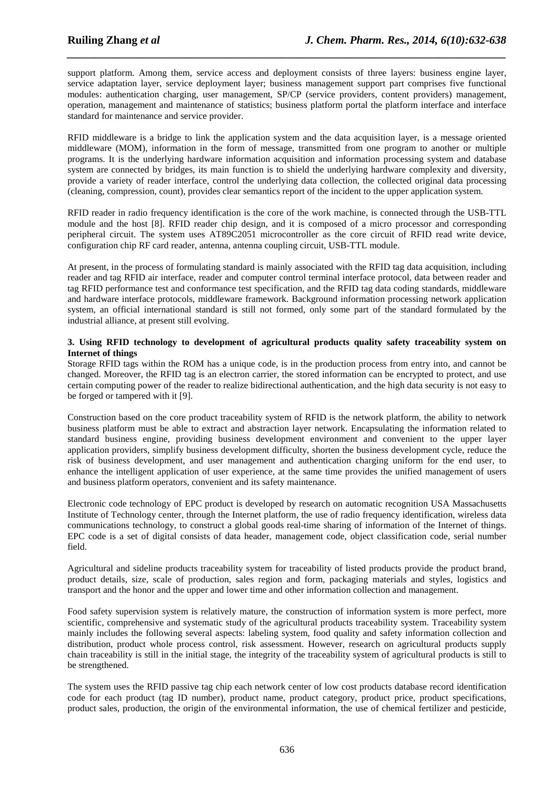support platform. Among them, service access and deployment consists of three layers: business engine layer, service adaptation layer, service deployment layer; business management support part comprises five functional modules: authentication charging, user management, SP/CP (service providers, content providers) management, operation, management and maintenance of statistics; business platform portal the platform interface and interface standard for maintenance and service provider.

*\_\_\_\_\_\_\_\_\_\_\_\_\_\_\_\_\_\_\_\_\_\_\_\_\_\_\_\_\_\_\_\_\_\_\_\_\_\_\_\_\_\_\_\_\_\_\_\_\_\_\_\_\_\_\_\_\_\_\_\_\_\_\_\_\_\_\_\_\_\_\_\_\_\_\_\_\_\_*

RFID middleware is a bridge to link the application system and the data acquisition layer, is a message oriented middleware (MOM), information in the form of message, transmitted from one program to another or multiple programs. It is the underlying hardware information acquisition and information processing system and database system are connected by bridges, its main function is to shield the underlying hardware complexity and diversity, provide a variety of reader interface, control the underlying data collection, the collected original data processing (cleaning, compression, count), provides clear semantics report of the incident to the upper application system.

RFID reader in radio frequency identification is the core of the work machine, is connected through the USB-TTL module and the host [8]. RFID reader chip design, and it is composed of a micro processor and corresponding peripheral circuit. The system uses AT89C2051 microcontroller as the core circuit of RFID read write device, configuration chip RF card reader, antenna, antenna coupling circuit, USB-TTL module.

At present, in the process of formulating standard is mainly associated with the RFID tag data acquisition, including reader and tag RFID air interface, reader and computer control terminal interface protocol, data between reader and tag RFID performance test and conformance test specification, and the RFID tag data coding standards, middleware and hardware interface protocols, middleware framework. Background information processing network application system, an official international standard is still not formed, only some part of the standard formulated by the industrial alliance, at present still evolving.

#### **3. Using RFID technology to development of agricultural products quality safety traceability system on Internet of things**

Storage RFID tags within the ROM has a unique code, is in the production process from entry into, and cannot be changed. Moreover, the RFID tag is an electron carrier, the stored information can be encrypted to protect, and use certain computing power of the reader to realize bidirectional authentication, and the high data security is not easy to be forged or tampered with it [9].

Construction based on the core product traceability system of RFID is the network platform, the ability to network business platform must be able to extract and abstraction layer network. Encapsulating the information related to standard business engine, providing business development environment and convenient to the upper layer application providers, simplify business development difficulty, shorten the business development cycle, reduce the risk of business development, and user management and authentication charging uniform for the end user, to enhance the intelligent application of user experience, at the same time provides the unified management of users and business platform operators, convenient and its safety maintenance.

Electronic code technology of EPC product is developed by research on automatic recognition USA Massachusetts Institute of Technology center, through the Internet platform, the use of radio frequency identification, wireless data communications technology, to construct a global goods real-time sharing of information of the Internet of things. EPC code is a set of digital consists of data header, management code, object classification code, serial number field.

Agricultural and sideline products traceability system for traceability of listed products provide the product brand, product details, size, scale of production, sales region and form, packaging materials and styles, logistics and transport and the honor and the upper and lower time and other information collection and management.

Food safety supervision system is relatively mature, the construction of information system is more perfect, more scientific, comprehensive and systematic study of the agricultural products traceability system. Traceability system mainly includes the following several aspects: labeling system, food quality and safety information collection and distribution, product whole process control, risk assessment. However, research on agricultural products supply chain traceability is still in the initial stage, the integrity of the traceability system of agricultural products is still to be strengthened.

The system uses the RFID passive tag chip each network center of low cost products database record identification code for each product (tag ID number), product name, product category, product price, product specifications, product sales, production, the origin of the environmental information, the use of chemical fertilizer and pesticide,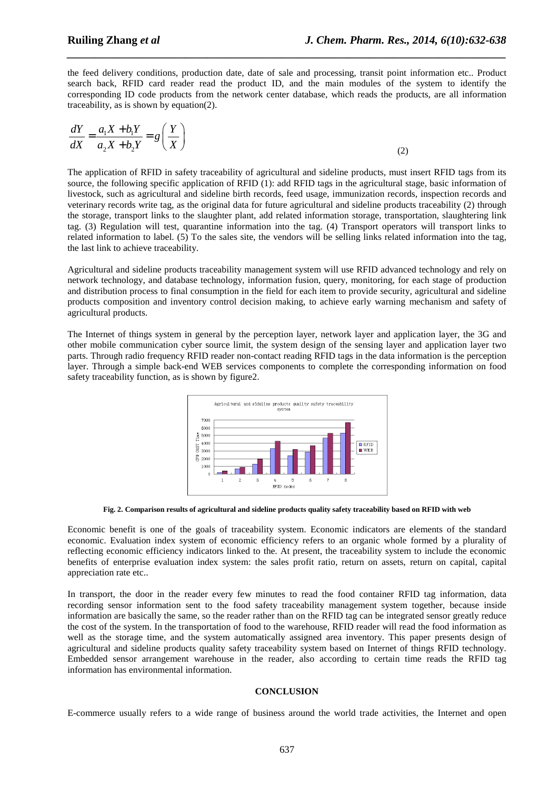the feed delivery conditions, production date, date of sale and processing, transit point information etc.. Product search back, RFID card reader read the product ID, and the main modules of the system to identify the corresponding ID code products from the network center database, which reads the products, are all information traceability, as is shown by equation(2).

*\_\_\_\_\_\_\_\_\_\_\_\_\_\_\_\_\_\_\_\_\_\_\_\_\_\_\_\_\_\_\_\_\_\_\_\_\_\_\_\_\_\_\_\_\_\_\_\_\_\_\_\_\_\_\_\_\_\_\_\_\_\_\_\_\_\_\_\_\_\_\_\_\_\_\_\_\_\_*

$$
\frac{dY}{dX} = \frac{a_1X + b_1Y}{a_2X + b_2Y} = g\left(\frac{Y}{X}\right)
$$
\n(2)

The application of RFID in safety traceability of agricultural and sideline products, must insert RFID tags from its source, the following specific application of RFID (1): add RFID tags in the agricultural stage, basic information of livestock, such as agricultural and sideline birth records, feed usage, immunization records, inspection records and veterinary records write tag, as the original data for future agricultural and sideline products traceability (2) through the storage, transport links to the slaughter plant, add related information storage, transportation, slaughtering link tag. (3) Regulation will test, quarantine information into the tag. (4) Transport operators will transport links to related information to label. (5) To the sales site, the vendors will be selling links related information into the tag, the last link to achieve traceability.

Agricultural and sideline products traceability management system will use RFID advanced technology and rely on network technology, and database technology, information fusion, query, monitoring, for each stage of production and distribution process to final consumption in the field for each item to provide security, agricultural and sideline products composition and inventory control decision making, to achieve early warning mechanism and safety of agricultural products.

The Internet of things system in general by the perception layer, network layer and application layer, the 3G and other mobile communication cyber source limit, the system design of the sensing layer and application layer two parts. Through radio frequency RFID reader non-contact reading RFID tags in the data information is the perception layer. Through a simple back-end WEB services components to complete the corresponding information on food safety traceability function, as is shown by figure2.



**Fig. 2. Comparison results of agricultural and sideline products quality safety traceability based on RFID with web** 

Economic benefit is one of the goals of traceability system. Economic indicators are elements of the standard economic. Evaluation index system of economic efficiency refers to an organic whole formed by a plurality of reflecting economic efficiency indicators linked to the. At present, the traceability system to include the economic benefits of enterprise evaluation index system: the sales profit ratio, return on assets, return on capital, capital appreciation rate etc..

In transport, the door in the reader every few minutes to read the food container RFID tag information, data recording sensor information sent to the food safety traceability management system together, because inside information are basically the same, so the reader rather than on the RFID tag can be integrated sensor greatly reduce the cost of the system. In the transportation of food to the warehouse, RFID reader will read the food information as well as the storage time, and the system automatically assigned area inventory. This paper presents design of agricultural and sideline products quality safety traceability system based on Internet of things RFID technology. Embedded sensor arrangement warehouse in the reader, also according to certain time reads the RFID tag information has environmental information.

#### **CONCLUSION**

E-commerce usually refers to a wide range of business around the world trade activities, the Internet and open